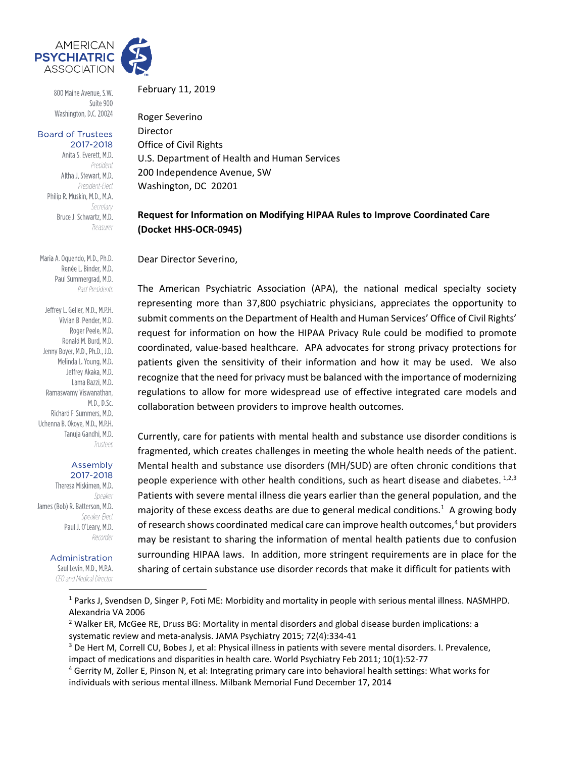

800 Maine Avenue, S.W. Suite 900 Washington, D.C. 20024

#### **Board of Trustees** 2017-2018

Anita S. Everett, M.D. President Altha J. Stewart, M.D. President-Elect Philip R. Muskin, M.D., M.A. Secretary Bruce J. Schwartz, M.D. Treasurer

Maria A. Oquendo, M.D., Ph.D. Renée L. Binder, M.D. Paul Summergrad, M.D. Past Presidents

Jeffrey L. Geller, M.D., M.P.H. Vivian B. Pender, M.D. Roger Peele, M.D. Ronald M. Burd, M.D. Jenny Boyer, M.D., Ph.D., J.D. Melinda L. Young, M.D. Jeffrey Akaka, M.D. Lama Bazzi, M.D. Ramaswamy Viswanathan, M.D., D.Sc. Richard F. Summers, M.D. Uchenna B. Okoye, M.D., M.P.H. Tanuja Gandhi, M.D. Trustees

#### Assembly 2017-2018

Theresa Miskimen, M.D. Speaker James (Bob) R. Batterson, M.D. Speaker-Elect Paul J. O'Leary, M.D. Recorder

#### Administration

Saul Levin, M.D., M.P.A. CEO and Medical Director

February 11, 2019

Roger Severino Director Office of Civil Rights U.S. Department of Health and Human Services 200 Independence Avenue, SW Washington, DC 20201

# **Request for Information on Modifying HIPAA Rules to Improve Coordinated Care (Docket HHS‐OCR‐0945)**

Dear Director Severino,

The American Psychiatric Association (APA), the national medical specialty society representing more than 37,800 psychiatric physicians, appreciates the opportunity to submit comments on the Department of Health and Human Services' Office of Civil Rights' request for information on how the HIPAA Privacy Rule could be modified to promote coordinated, value‐based healthcare. APA advocates for strong privacy protections for patients given the sensitivity of their information and how it may be used. We also recognize that the need for privacy must be balanced with the importance of modernizing regulations to allow for more widespread use of effective integrated care models and collaboration between providers to improve health outcomes.

Currently, care for patients with mental health and substance use disorder conditions is fragmented, which creates challenges in meeting the whole health needs of the patient. Mental health and substance use disorders (MH/SUD) are often chronic conditions that people experience with other health conditions, such as heart disease and diabetes.  $1,2,3$ Patients with severe mental illness die years earlier than the general population, and the majority of these excess deaths are due to general medical conditions.<sup>1</sup> A growing body of research shows coordinated medical care can improve health outcomes,<sup>4</sup> but providers may be resistant to sharing the information of mental health patients due to confusion surrounding HIPAA laws. In addition, more stringent requirements are in place for the sharing of certain substance use disorder records that make it difficult for patients with

<sup>1</sup> Parks J, Svendsen D, Singer P, Foti ME: Morbidity and mortality in people with serious mental illness. NASMHPD. Alexandria VA 2006

<sup>&</sup>lt;sup>2</sup> Walker ER, McGee RE, Druss BG: Mortality in mental disorders and global disease burden implications: a systematic review and meta‐analysis. JAMA Psychiatry 2015; 72(4):334‐41

<sup>&</sup>lt;sup>3</sup> De Hert M, Correll CU, Bobes J, et al: Physical illness in patients with severe mental disorders. I. Prevalence, impact of medications and disparities in health care. World Psychiatry Feb 2011; 10(1):52‐77

<sup>4</sup> Gerrity M, Zoller E, Pinson N, et al: Integrating primary care into behavioral health settings: What works for individuals with serious mental illness. Milbank Memorial Fund December 17, 2014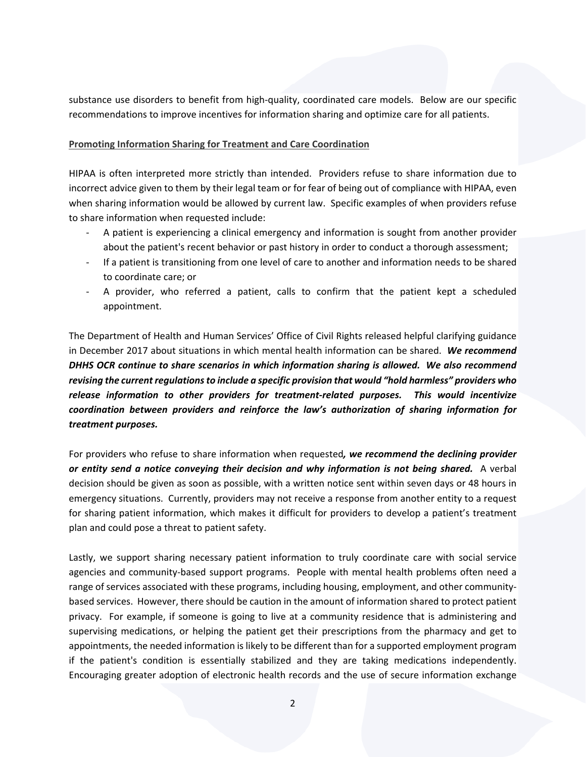substance use disorders to benefit from high‐quality, coordinated care models. Below are our specific recommendations to improve incentives for information sharing and optimize care for all patients.

## **Promoting Information Sharing for Treatment and Care Coordination**

HIPAA is often interpreted more strictly than intended. Providers refuse to share information due to incorrect advice given to them by their legal team or for fear of being out of compliance with HIPAA, even when sharing information would be allowed by current law. Specific examples of when providers refuse to share information when requested include:

- ‐ A patient is experiencing a clinical emergency and information is sought from another provider about the patient's recent behavior or past history in order to conduct a thorough assessment;
- If a patient is transitioning from one level of care to another and information needs to be shared to coordinate care; or
- ‐ A provider, who referred a patient, calls to confirm that the patient kept a scheduled appointment.

The Department of Health and Human Services' Office of Civil Rights released helpful clarifying guidance in December 2017 about situations in which mental health information can be shared. *We recommend DHHS OCR continue to share scenarios in which information sharing is allowed. We also recommend revising the current regulationsto include a specific provision that would "hold harmless" providers who release information to other providers for treatment‐related purposes. This would incentivize coordination between providers and reinforce the law's authorization of sharing information for treatment purposes.* 

For providers who refuse to share information when requested*, we recommend the declining provider or entity send a notice conveying their decision and why information is not being shared.* A verbal decision should be given as soon as possible, with a written notice sent within seven days or 48 hours in emergency situations. Currently, providers may not receive a response from another entity to a request for sharing patient information, which makes it difficult for providers to develop a patient's treatment plan and could pose a threat to patient safety.

Lastly, we support sharing necessary patient information to truly coordinate care with social service agencies and community-based support programs. People with mental health problems often need a range of services associated with these programs, including housing, employment, and other communitybased services. However, there should be caution in the amount of information shared to protect patient privacy. For example, if someone is going to live at a community residence that is administering and supervising medications, or helping the patient get their prescriptions from the pharmacy and get to appointments, the needed information is likely to be different than for a supported employment program if the patient's condition is essentially stabilized and they are taking medications independently. Encouraging greater adoption of electronic health records and the use of secure information exchange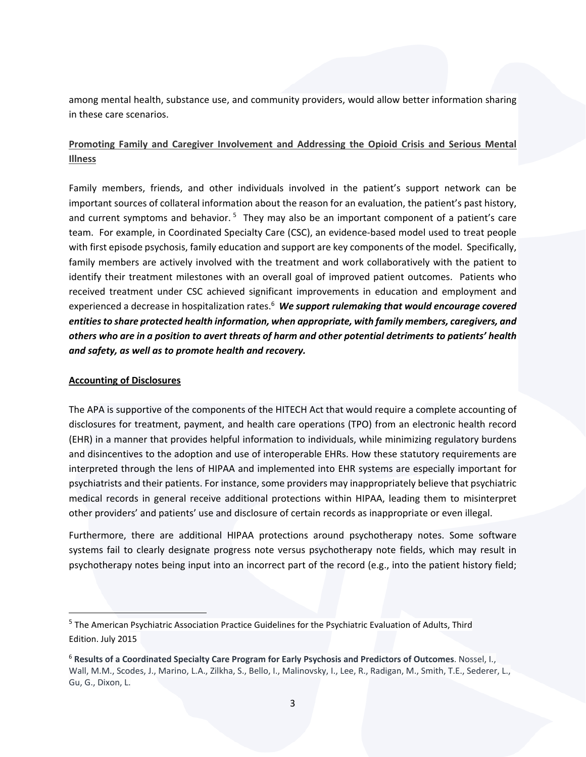among mental health, substance use, and community providers, would allow better information sharing in these care scenarios.

# **Promoting Family and Caregiver Involvement and Addressing the Opioid Crisis and Serious Mental Illness**

Family members, friends, and other individuals involved in the patient's support network can be important sources of collateral information about the reason for an evaluation, the patient's past history, and current symptoms and behavior.<sup>5</sup> They may also be an important component of a patient's care team. For example, in Coordinated Specialty Care (CSC), an evidence‐based model used to treat people with first episode psychosis, family education and support are key components of the model. Specifically, family members are actively involved with the treatment and work collaboratively with the patient to identify their treatment milestones with an overall goal of improved patient outcomes. Patients who received treatment under CSC achieved significant improvements in education and employment and experienced a decrease in hospitalization rates.6 *We support rulemaking that would encourage covered entitiesto share protected health information, when appropriate, with family members, caregivers, and* others who are in a position to avert threats of harm and other potential detriments to patients' health *and safety, as well as to promote health and recovery.*

### **Accounting of Disclosures**

The APA is supportive of the components of the HITECH Act that would require a complete accounting of disclosures for treatment, payment, and health care operations (TPO) from an electronic health record (EHR) in a manner that provides helpful information to individuals, while minimizing regulatory burdens and disincentives to the adoption and use of interoperable EHRs. How these statutory requirements are interpreted through the lens of HIPAA and implemented into EHR systems are especially important for psychiatrists and their patients. For instance, some providers may inappropriately believe that psychiatric medical records in general receive additional protections within HIPAA, leading them to misinterpret other providers' and patients' use and disclosure of certain records as inappropriate or even illegal.

Furthermore, there are additional HIPAA protections around psychotherapy notes. Some software systems fail to clearly designate progress note versus psychotherapy note fields, which may result in psychotherapy notes being input into an incorrect part of the record (e.g., into the patient history field;

<sup>5</sup> The American Psychiatric Association Practice Guidelines for the Psychiatric Evaluation of Adults, Third Edition. July 2015

<sup>6</sup> **Results of a Coordinated Specialty Care Program for Early Psychosis and Predictors of Outcomes**. Nossel, I., Wall, M.M., Scodes, J., Marino, L.A., Zilkha, S., Bello, I., Malinovsky, I., Lee, R., Radigan, M., Smith, T.E., Sederer, L., Gu, G., Dixon, L.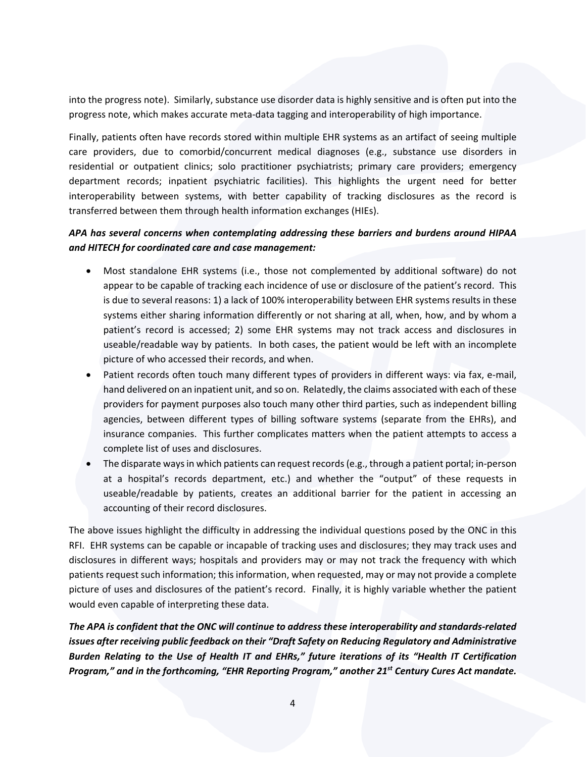into the progress note). Similarly, substance use disorder data is highly sensitive and is often put into the progress note, which makes accurate meta‐data tagging and interoperability of high importance.

Finally, patients often have records stored within multiple EHR systems as an artifact of seeing multiple care providers, due to comorbid/concurrent medical diagnoses (e.g., substance use disorders in residential or outpatient clinics; solo practitioner psychiatrists; primary care providers; emergency department records; inpatient psychiatric facilities). This highlights the urgent need for better interoperability between systems, with better capability of tracking disclosures as the record is transferred between them through health information exchanges (HIEs).

# *APA has several concerns when contemplating addressing these barriers and burdens around HIPAA and HITECH for coordinated care and case management:*

- Most standalone EHR systems (i.e., those not complemented by additional software) do not appear to be capable of tracking each incidence of use or disclosure of the patient's record. This is due to several reasons: 1) a lack of 100% interoperability between EHR systems results in these systems either sharing information differently or not sharing at all, when, how, and by whom a patient's record is accessed; 2) some EHR systems may not track access and disclosures in useable/readable way by patients. In both cases, the patient would be left with an incomplete picture of who accessed their records, and when.
- Patient records often touch many different types of providers in different ways: via fax, e-mail, hand delivered on an inpatient unit, and so on. Relatedly, the claims associated with each of these providers for payment purposes also touch many other third parties, such as independent billing agencies, between different types of billing software systems (separate from the EHRs), and insurance companies. This further complicates matters when the patient attempts to access a complete list of uses and disclosures.
- The disparate waysin which patients can request records(e.g., through a patient portal; in‐person at a hospital's records department, etc.) and whether the "output" of these requests in useable/readable by patients, creates an additional barrier for the patient in accessing an accounting of their record disclosures.

The above issues highlight the difficulty in addressing the individual questions posed by the ONC in this RFI. EHR systems can be capable or incapable of tracking uses and disclosures; they may track uses and disclosures in different ways; hospitals and providers may or may not track the frequency with which patients request such information; this information, when requested, may or may not provide a complete picture of uses and disclosures of the patient's record. Finally, it is highly variable whether the patient would even capable of interpreting these data.

*The APA is confident that the ONC will continue to address these interoperability and standards‐related issues after receiving public feedback on their "Draft Safety on Reducing Regulatory and Administrative Burden Relating to the Use of Health IT and EHRs," future iterations of its "Health IT Certification Program," and in the forthcoming, "EHR Reporting Program," another 21st Century Cures Act mandate.*